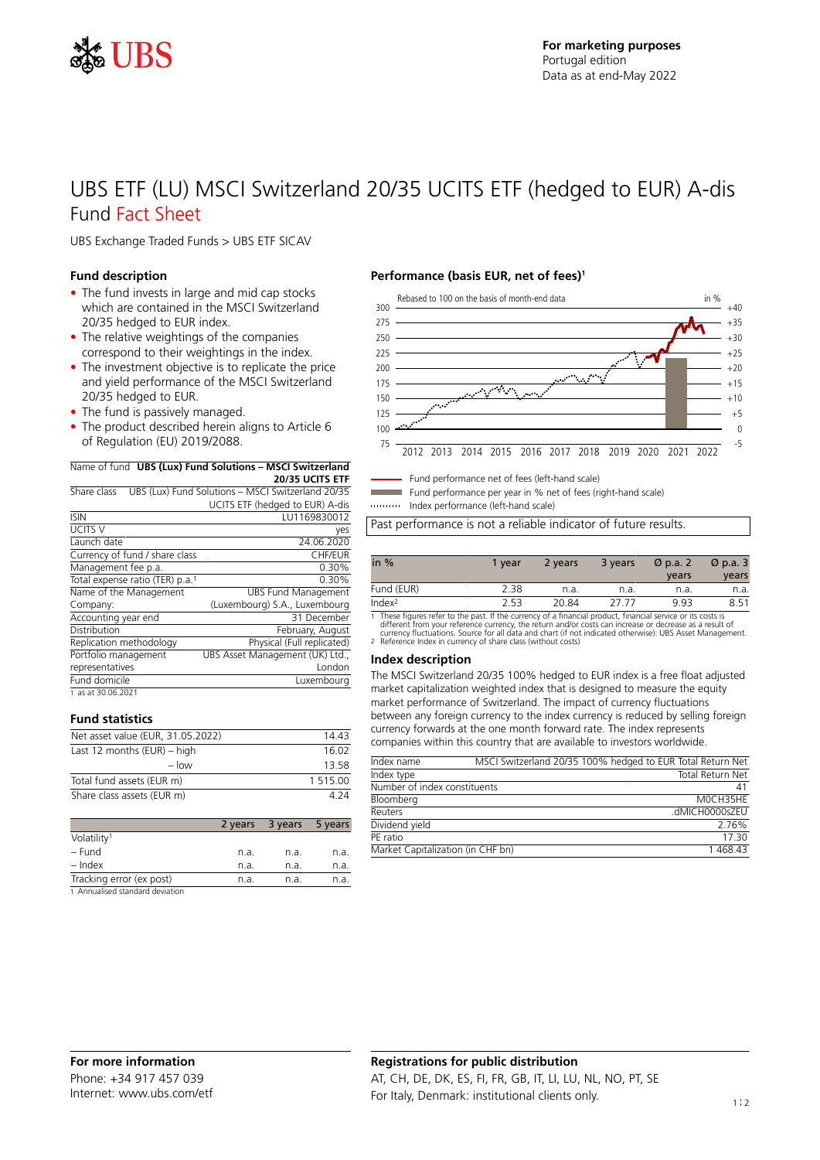

# UBS ETF (LU) MSCI Switzerland 20/35 UCITS ETF (hedged to EUR) A-dis Fund Fact Sheet

UBS Exchange Traded Funds > UBS ETF SICAV

### **Fund description**

- The fund invests in large and mid cap stocks which are contained in the MSCI Switzerland 20/35 hedged to EUR index.
- The relative weightings of the companies correspond to their weightings in the index.
- The investment objective is to replicate the price and yield performance of the MSCI Switzerland 20/35 hedged to EUR.
- The fund is passively managed.
- The product described herein aligns to Article 6 of Regulation (EU) 2019/2088.

### Name of fund **UBS (Lux) Fund Solutions – MSCI Switzerland**

**20/35 UCITS ETF** Share class UBS (Lux) Fund Solutions – MSCI Switzerland 20/35 UCITS ETF (hedged to EUR) A-dis

| <b>ISIN</b>                                 | LU1169830012                    |
|---------------------------------------------|---------------------------------|
| UCITS V                                     | yes                             |
| Launch date                                 | 24.06.2020                      |
| Currency of fund / share class              | <b>CHF/EUR</b>                  |
| Management fee p.a.                         | 0.30%                           |
| Total expense ratio (TER) p.a. <sup>1</sup> | 0.30%                           |
| Name of the Management                      | <b>UBS Fund Management</b>      |
| Company:                                    | (Luxembourg) S.A., Luxembourg   |
| Accounting year end                         | 31 December                     |
| Distribution                                | February, August                |
| Replication methodology                     | Physical (Full replicated)      |
| Portfolio management                        | UBS Asset Management (UK) Ltd., |
| representatives                             | London                          |
| Fund domicile                               | Luxembourg                      |
| 1 as at 30.06.2021                          |                                 |

### **Fund statistics**

| Net asset value (EUR, 31.05.2022) | 1443     |
|-----------------------------------|----------|
| Last 12 months $(EUR)$ – high     | 16.02    |
| $-$ low                           | 13 58    |
| Total fund assets (EUR m)         | 1 515.00 |
| Share class assets (EUR m)        | 4 7 A    |

|                                  | 2 years | 3 years | 5 years |
|----------------------------------|---------|---------|---------|
| Volatility <sup>1</sup>          |         |         |         |
| – Fund                           | n.a.    | n.a.    | n.a.    |
| $-$ Index                        | n.a.    | n.a.    | n.a.    |
| Tracking error (ex post)         | n.a.    | n.a.    | n.a.    |
| 1. Annualicod standard doviation |         |         |         |

1 Annualised standard deviation

### **Performance (basis EUR, net of fees)<sup>1</sup>**



Fund performance net of fees (left-hand scale)

Fund performance per year in % net of fees (right-hand scale)

Index performance (left-hand scale)

Past performance is not a reliable indicator of future results.

| in $%$             | 1 vear | 2 years | 3 years | $\varnothing$ p.a. 2<br>years | $\varnothing$ p.a. 3<br>years |
|--------------------|--------|---------|---------|-------------------------------|-------------------------------|
| Fund (EUR)         | 2.38   | n.a.    | n.a.    | n.a.                          | n.a.                          |
| Index <sup>2</sup> | 2.53   | 20.84   | 77 77   | 9.93                          | 8.51                          |

1 These figures refer to the past. If the currency of a financial product, financial service or its costs is<br>different from your reference currency, the return and/or costs can increase or decrease as a result of<br>currency

#### **Index description**

The MSCI Switzerland 20/35 100% hedged to EUR index is a free float adjusted market capitalization weighted index that is designed to measure the equity market performance of Switzerland. The impact of currency fluctuations between any foreign currency to the index currency is reduced by selling foreign currency forwards at the one month forward rate. The index represents companies within this country that are available to investors worldwide.

| Index name                        | MSCI Switzerland 20/35 100% hedged to EUR Total Return Net |
|-----------------------------------|------------------------------------------------------------|
| Index type                        | <b>Total Return Net</b>                                    |
| Number of index constituents      | 41                                                         |
| Bloomberg                         | MOCH35HF                                                   |
| Reuters                           | .dMICH0000sZEU                                             |
| Dividend yield                    | 2.76%                                                      |
| PF ratio                          | 17 30                                                      |
| Market Capitalization (in CHF bn) | 1468.43                                                    |

# **Registrations for public distribution** AT, CH, DE, DK, ES, FI, FR, GB, IT, LI, LU, NL, NO, PT, SE For Italy, Denmark: institutional clients only.  $1$ !